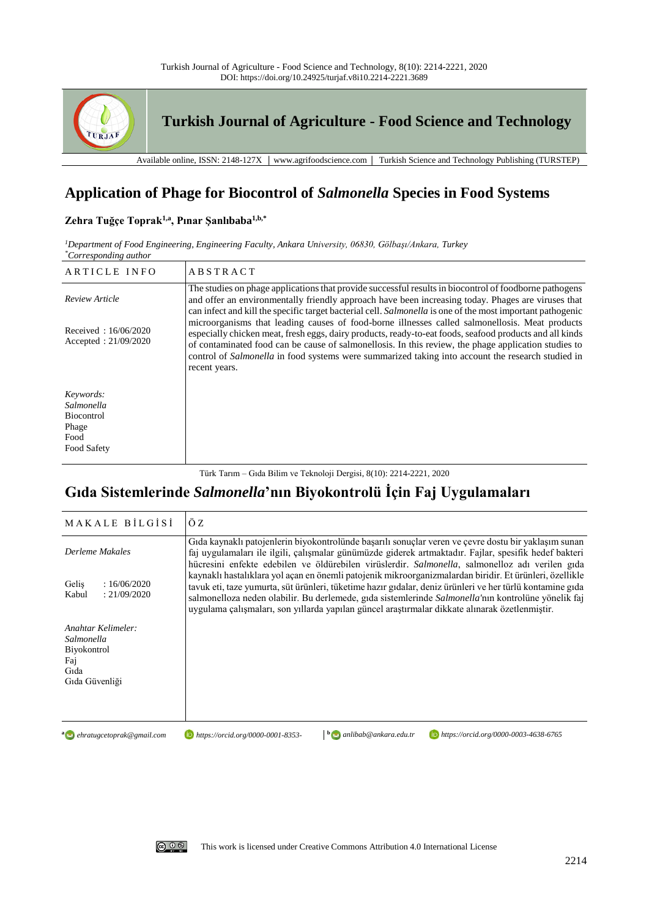

# **Application of Phage for Biocontrol of** *Salmonella* **Species in Food Systems**

## **Zehra Tuğçe Toprak1,a, Pınar Şanlıbaba1,b,\***

*<sup>1</sup>Department of Food Engineering, Engineering Faculty, Ankara University, 06830, Gölbaşı/Ankara, Turkey \*Corresponding author*

| ARTICLE INFO                                                                 | <b>ABSTRACT</b>                                                                                                                                                                                                                                                                                                                                                                                                                         |
|------------------------------------------------------------------------------|-----------------------------------------------------------------------------------------------------------------------------------------------------------------------------------------------------------------------------------------------------------------------------------------------------------------------------------------------------------------------------------------------------------------------------------------|
| Review Article                                                               | The studies on phage applications that provide successful results in biocontrol of foodborne pathogens<br>and offer an environmentally friendly approach have been increasing today. Phages are viruses that<br>can infect and kill the specific target bacterial cell. Salmonella is one of the most important pathogenic                                                                                                              |
| Received: $16/06/2020$<br>Accepted: $21/09/2020$                             | microorganisms that leading causes of food-borne illnesses called salmonellosis. Meat products<br>especially chicken meat, fresh eggs, dairy products, ready-to-eat foods, seafood products and all kinds<br>of contaminated food can be cause of salmonellosis. In this review, the phage application studies to<br>control of Salmonella in food systems were summarized taking into account the research studied in<br>recent years. |
| Keywords:<br>Salmonella<br><b>Biocontrol</b><br>Phage<br>Food<br>Food Safety |                                                                                                                                                                                                                                                                                                                                                                                                                                         |

Türk Tarım – Gıda Bilim ve Teknoloji Dergisi, 8(10): 2214-2221, 2020

# **Gıda Sistemlerinde** *Salmonella***'nın Biyokontrolü İçin Faj Uygulamaları**

| MAKALE BILGISI                                                                   | ÖZ                                                                                                                                                                                                                                                                                                                                                                                                                            |  |
|----------------------------------------------------------------------------------|-------------------------------------------------------------------------------------------------------------------------------------------------------------------------------------------------------------------------------------------------------------------------------------------------------------------------------------------------------------------------------------------------------------------------------|--|
| Derleme Makales                                                                  | Gıda kaynaklı patojenlerin biyokontrolünde başarılı sonuçlar veren ve çevre dostu bir yaklaşım sunan<br>faj uygulamaları ile ilgili, çalışmalar günümüzde giderek artmaktadır. Fajlar, spesifik hedef bakteri<br>hücresini enfekte edebilen ve öldürebilen virüslerdir. Salmonella, salmonelloz adı verilen gıda                                                                                                              |  |
| Gelis<br>:16/06/2020<br>Kabul<br>: 21/09/2020                                    | kaynaklı hastalıklara yol açan en önemli patojenik mikroorganizmalardan biridir. Et ürünleri, özellikle<br>tavuk eti, taze yumurta, süt ürünleri, tüketime hazır gıdalar, deniz ürünleri ve her türlü kontamine gıda<br>salmonelloza neden olabilir. Bu derlemede, gıda sistemlerinde Salmonella'nın kontrolüne yönelik faj<br>uygulama çalışmaları, son yıllarda yapılan güncel araştırmalar dikkate alınarak özetlenmiştir. |  |
| Anahtar Kelimeler:<br>Salmonella<br>Biyokontrol<br>Fai<br>Gida<br>Gida Güvenliği |                                                                                                                                                                                                                                                                                                                                                                                                                               |  |

**a** *ehratugcetoprak@gmail.com* 

*ehratugcetoprak@gmail.com https://orcid.org/0000-0001-8353-*

**<sup>b</sup>** *anlibab@ankara.edu.tr https://orcid.org/0000-0003-4638-6765*

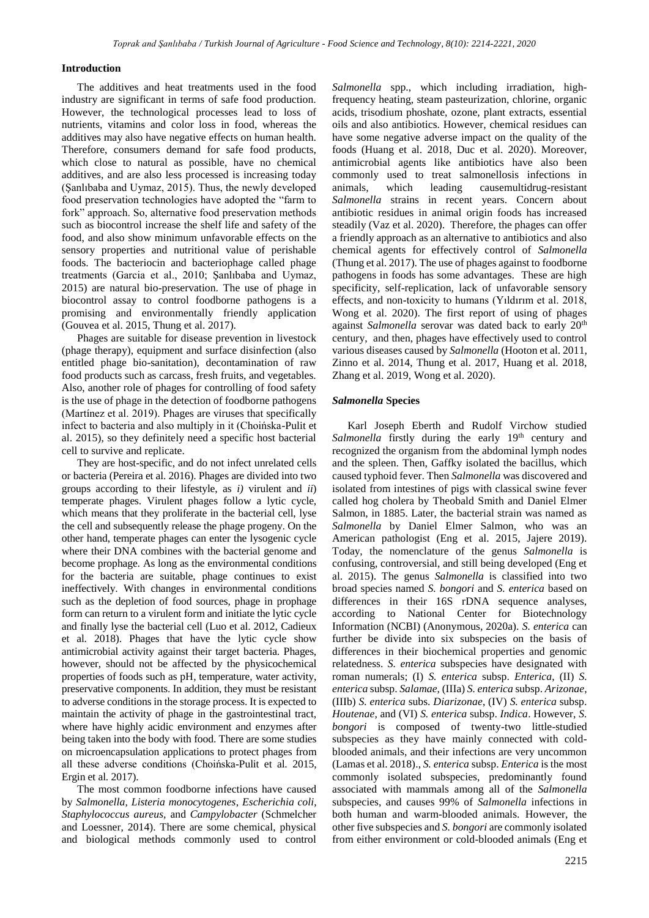#### **Introduction**

The additives and heat treatments used in the food industry are significant in terms of safe food production. However, the technological processes lead to loss of nutrients, vitamins and color loss in food, whereas the additives may also have negative effects on human health. Therefore, consumers demand for safe food products, which close to natural as possible, have no chemical additives, and are also less processed is increasing today (Şanlıbaba and Uymaz, 2015). Thus, the newly developed food preservation technologies have adopted the "farm to fork" approach. So, alternative food preservation methods such as biocontrol increase the shelf life and safety of the food, and also show minimum unfavorable effects on the sensory properties and nutritional value of perishable foods. The bacteriocin and bacteriophage called phage treatments (Garcia et al., 2010; Şanlıbaba and Uymaz, 2015) are natural bio-preservation. The use of phage in biocontrol assay to control foodborne pathogens is a promising and environmentally friendly application (Gouvea et al. 2015, Thung et al. 2017).

Phages are suitable for disease prevention in livestock (phage therapy), equipment and surface disinfection (also entitled phage bio-sanitation), decontamination of raw food products such as carcass, fresh fruits, and vegetables. Also, another role of phages for controlling of food safety is the use of phage in the detection of foodborne pathogens (Martínez et al. 2019). Phages are viruses that specifically infect to bacteria and also multiply in it (Choińska-Pulit et al. 2015), so they definitely need a specific host bacterial cell to survive and replicate.

They are host-specific, and do not infect unrelated cells or bacteria (Pereira et al. 2016). Phages are divided into two groups according to their lifestyle, as *i)* virulent and *ii*) temperate phages. Virulent phages follow a lytic cycle, which means that they proliferate in the bacterial cell, lyse the cell and subsequently release the phage progeny. On the other hand, temperate phages can enter the lysogenic cycle where their DNA combines with the bacterial genome and become prophage. As long as the environmental conditions for the bacteria are suitable, phage continues to exist ineffectively. With changes in environmental conditions such as the depletion of food sources, phage in prophage form can return to a virulent form and initiate the lytic cycle and finally lyse the bacterial cell (Luo et al. 2012, Cadieux et al. 2018). Phages that have the lytic cycle show antimicrobial activity against their target bacteria. Phages, however, should not be affected by the physicochemical properties of foods such as pH, temperature, water activity, preservative components. In addition, they must be resistant to adverse conditions in the storage process. It is expected to maintain the activity of phage in the gastrointestinal tract, where have highly acidic environment and enzymes after being taken into the body with food. There are some studies on microencapsulation applications to protect phages from all these adverse conditions (Choińska-Pulit et al. 2015, Ergin et al. 2017).

The most common foodborne infections have caused by *Salmonella*, *Listeria monocytogenes*, *Escherichia coli, Staphylococcus aureus,* and *Campylobacter* (Schmelcher and Loessner, 2014). There are some chemical, physical and biological methods commonly used to control

*Salmonella* spp., which including irradiation, highfrequency heating, steam pasteurization, chlorine, organic acids, trisodium phoshate, ozone, plant extracts, essential oils and also antibiotics. However, chemical residues can have some negative adverse impact on the quality of the foods (Huang et al. 2018, Duc et al. 2020). Moreover, antimicrobial agents like antibiotics have also been commonly used to treat salmonellosis infections in animals, which leading causemultidrug-resistant *Salmonella* strains in recent years. Concern about antibiotic residues in animal origin foods has increased steadily (Vaz et al. 2020). Therefore, the phages can offer a friendly approach as an alternative to antibiotics and also chemical agents for effectively control of *Salmonella* (Thung et al. 2017). The use of phages against to foodborne pathogens in foods has some advantages. These are high specificity, self-replication, lack of unfavorable sensory effects, and non-toxicity to humans (Yıldırım et al. 2018, Wong et al. 2020). The first report of using of phages against Salmonella serovar was dated back to early 20<sup>th</sup> century, and then, phages have effectively used to control various diseases caused by *Salmonella* (Hooton et al. 2011, Zinno et al. 2014, Thung et al. 2017, Huang et al. 2018, Zhang et al. 2019, Wong et al. 2020).

#### *Salmonella* **Species**

Karl Joseph Eberth and Rudolf Virchow studied Salmonella firstly during the early 19<sup>th</sup> century and recognized the organism from the abdominal lymph nodes and the spleen. Then, Gaffky isolated the bacillus, which caused typhoid fever. Then *Salmonella* was discovered and isolated from intestines of pigs with classical swine fever called hog cholera by Theobald Smith and Daniel Elmer Salmon, in 1885. Later, the bacterial strain was named as *Salmonella* by Daniel Elmer Salmon, who was an American pathologist (Eng et al. 2015, Jajere 2019). Today, the nomenclature of the genus *Salmonella* is confusing, controversial, and still being developed (Eng et al. 2015). The genus *Salmonella* is classified into two broad species named *S. bongori* and *S. enterica* based on differences in their 16S rDNA sequence analyses, according to National Center for Biotechnology Information (NCBI) (Anonymous, 2020a). *S. enterica* can further be divide into six subspecies on the basis of differences in their biochemical properties and genomic relatedness. *S. enterica* subspecies have designated with roman numerals; (I) *S. enterica* subsp. *Enterica*, (II) *S. enterica* subsp. *Salamae,* (IIIa) *S. enterica* subsp. *Arizonae*, (IIIb) *S. enterica* subs. *Diarizonae*, (IV) *S. enterica* subsp. *Houtenae*, and (VI) *S. enterica* subsp. *Indica*. However, *S. bongori* is composed of twenty-two little-studied subspecies as they have mainly connected with coldblooded animals, and their infections are very uncommon (Lamas et al. 2018)., *S. enterica* subsp. *Enterica* is the most commonly isolated subspecies, predominantly found associated with mammals among all of the *Salmonella* subspecies, and causes 99% of *Salmonella* infections in both human and warm-blooded animals. However, the other five subspecies and *S. bongori* are commonly isolated from either environment or cold-blooded animals (Eng et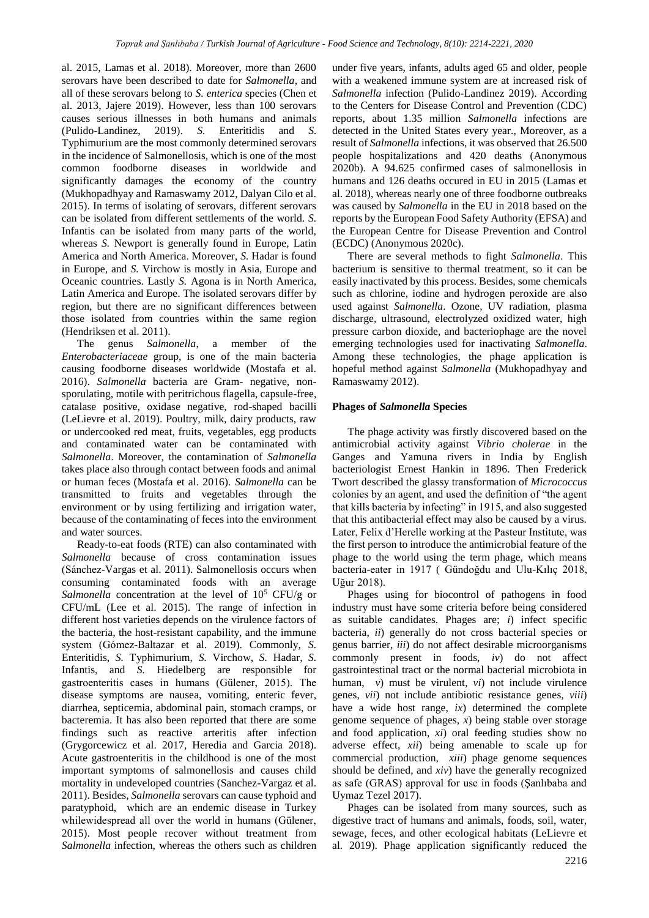al. 2015, Lamas et al. 2018). Moreover, more than 2600 serovars have been described to date for *Salmonella*, and all of these serovars belong to *S. enterica* species (Chen et al. 2013, Jajere 2019). However, less than 100 serovars causes serious illnesses in both humans and animals (Pulido-Landinez, 2019). *S.* Enteritidis and *S.* Typhimurium are the most commonly determined serovars in the incidence of Salmonellosis, which is one of the most common foodborne diseases in worldwide and significantly damages the economy of the country (Mukhopadhyay and Ramaswamy 2012, Dalyan Cilo et al. 2015). In terms of isolating of serovars, different serovars can be isolated from different settlements of the world. *S.* Infantis can be isolated from many parts of the world, whereas *S.* Newport is generally found in Europe, Latin America and North America. Moreover, *S.* Hadar is found in Europe, and *S.* Virchow is mostly in Asia, Europe and Oceanic countries. Lastly *S.* Agona is in North America, Latin America and Europe. The isolated serovars differ by region, but there are no significant differences between those isolated from countries within the same region (Hendriksen et al. 2011).

The genus *Salmonella*, a member of the *Enterobacteriaceae* group, is one of the main bacteria causing foodborne diseases worldwide (Mostafa et al. 2016). *Salmonella* bacteria are Gram- negative, nonsporulating, motile with peritrichous flagella, capsule-free, catalase positive, oxidase negative, rod-shaped bacilli (LeLievre et al. 2019). Poultry, milk, dairy products, raw or undercooked red meat, fruits, vegetables, egg products and contaminated water can be contaminated with *Salmonella*. Moreover, the contamination of *Salmonella* takes place also through contact between foods and animal or human feces (Mostafa et al. 2016). *Salmonella* can be transmitted to fruits and vegetables through the environment or by using fertilizing and irrigation water, because of the contaminating of feces into the environment and water sources.

Ready-to-eat foods (RTE) can also contaminated with *Salmonella* because of cross contamination issues (Sánchez-Vargas et al. 2011). Salmonellosis occurs when consuming contaminated foods with an average *Salmonella* concentration at the level of 10<sup>5</sup> CFU/g or CFU/mL (Lee et al. 2015). The range of infection in different host varieties depends on the virulence factors of the bacteria, the host-resistant capability, and the immune system (Gómez-Baltazar et al. 2019). Commonly, *S.* Enteritidis, *S.* Typhimurium, *S.* Virchow, *S.* Hadar, *S.* Infantis, and *S.* Hiedelberg are responsible for gastroenteritis cases in humans (Gülener, 2015). The disease symptoms are nausea, vomiting, enteric fever, diarrhea, septicemia, abdominal pain, stomach cramps, or bacteremia. It has also been reported that there are some findings such as reactive arteritis after infection (Grygorcewicz et al. 2017, Heredia and Garcia 2018). Acute gastroenteritis in the childhood is one of the most important symptoms of salmonellosis and causes child mortality in undeveloped countries (Sanchez-Vargaz et al. 2011). Besides, *Salmonella* serovars can cause typhoid and paratyphoid, which are an endemic disease in Turkey whilewidespread all over the world in humans (Gülener, 2015). Most people recover without treatment from *Salmonella* infection, whereas the others such as children

under five years, infants, adults aged 65 and older, people with a weakened immune system are at increased risk of *Salmonella* infection (Pulido-Landinez 2019). According to the Centers for Disease Control and Prevention (CDC) reports, about 1.35 million *Salmonella* infections are detected in the United States every year., Moreover, as a result of *Salmonella* infections, it was observed that 26.500 people hospitalizations and 420 deaths (Anonymous 2020b). A 94.625 confirmed cases of salmonellosis in humans and 126 deaths occured in EU in 2015 (Lamas et al. 2018), whereas nearly one of three foodborne outbreaks was caused by *Salmonella* in the EU in 2018 based on the reports by the European Food Safety Authority (EFSA) and the European Centre for Disease Prevention and Control (ECDC) (Anonymous 2020c).

There are several methods to fight *Salmonella*. This bacterium is sensitive to thermal treatment, so it can be easily inactivated by this process. Besides, some chemicals such as chlorine, iodine and hydrogen peroxide are also used against *Salmonella*. Ozone, UV radiation, plasma discharge, ultrasound, electrolyzed oxidized water, high pressure carbon dioxide, and bacteriophage are the novel emerging technologies used for inactivating *Salmonella*. Among these technologies, the phage application is hopeful method against *Salmonella* (Mukhopadhyay and Ramaswamy 2012).

### **Phages of** *Salmonella* **Species**

The phage activity was firstly discovered based on the antimicrobial activity against *Vibrio cholerae* in the Ganges and Yamuna rivers in India by English bacteriologist Ernest Hankin in 1896. Then Frederick Twort described the glassy transformation of *Micrococcus* colonies by an agent, and used the definition of "the agent that kills bacteria by infecting" in 1915, and also suggested that this antibacterial effect may also be caused by a virus. Later, Felix d'Herelle working at the Pasteur Institute, was the first person to introduce the antimicrobial feature of the phage to the world using the term phage, which means bacteria-eater in 1917 ( Gündoğdu and Ulu-Kılıç 2018, Uğur 2018).

Phages using for biocontrol of pathogens in food industry must have some criteria before being considered as suitable candidates. Phages are; *i*) infect specific bacteria, *ii*) generally do not cross bacterial species or genus barrier, *iii*) do not affect desirable microorganisms commonly present in foods, *iv*) do not affect gastrointestinal tract or the normal bacterial microbiota in human, *v*) must be virulent, *vi*) not include virulence genes, *vii*) not include antibiotic resistance genes, *viii*) have a wide host range, *ix*) determined the complete genome sequence of phages, *x*) being stable over storage and food application, *xi*) oral feeding studies show no adverse effect, *xii*) being amenable to scale up for commercial production, *xiii*) phage genome sequences should be defined, and *xiv*) have the generally recognized as safe (GRAS) approval for use in foods (Şanlıbaba and Uymaz Tezel 2017).

Phages can be isolated from many sources, such as digestive tract of humans and animals, foods, soil, water, sewage, feces, and other ecological habitats (LeLievre et al. 2019). Phage application significantly reduced the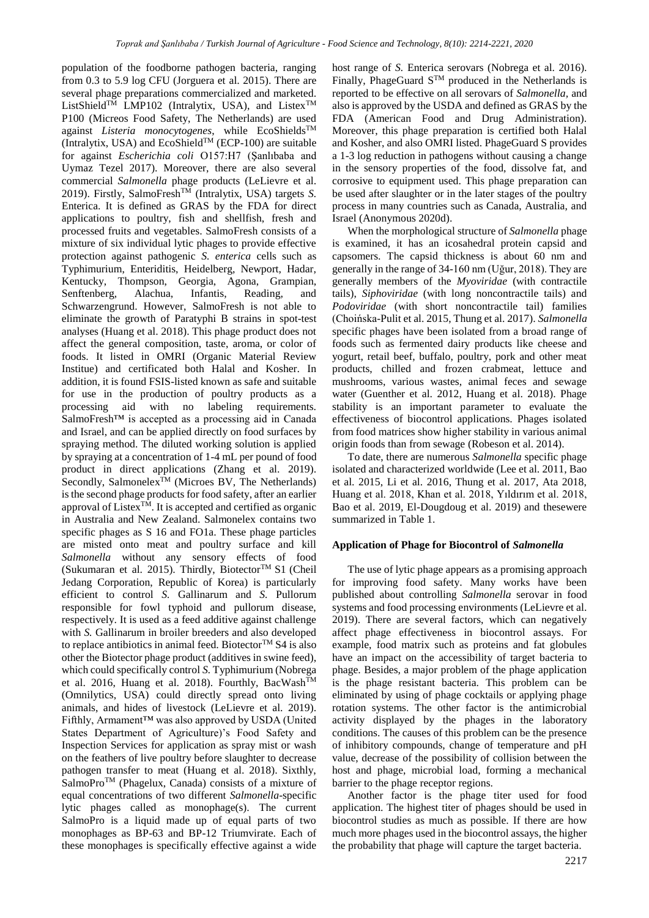population of the foodborne pathogen bacteria, ranging from 0.3 to 5.9 log CFU (Jorguera et al. 2015). There are several phage preparations commercialized and marketed. ListShield<sup>TM</sup> LMP102 (Intralytix, USA), and Listex<sup>TM</sup> P100 (Micreos Food Safety, The Netherlands) are used against *Listeria monocytogenes*, while EcoShieldsTM (Intralytix, USA) and EcoShield<sup>TM</sup> (ECP-100) are suitable for against *Escherichia coli* O157:H7 (Şanlıbaba and Uymaz Tezel 2017). Moreover, there are also several commercial *Salmonella* phage products (LeLievre et al. 2019). Firstly, SalmoFresh<sup>™</sup> (Intralytix, USA) targets *S*. Enterica. It is defined as GRAS by the FDA for direct applications to poultry, fish and shellfish, fresh and processed fruits and vegetables. SalmoFresh consists of a mixture of six individual lytic phages to provide effective protection against pathogenic *S. enterica* cells such as Typhimurium, Enteriditis, Heidelberg, Newport, Hadar, Kentucky, Thompson, Georgia, Agona, Grampian, Senftenberg, Alachua, Infantis, Reading, and Schwarzengrund. However, SalmoFresh is not able to eliminate the growth of Paratyphi B strains in spot-test analyses (Huang et al. 2018). This phage product does not affect the general composition, taste, aroma, or color of foods. It listed in OMRI (Organic Material Review Institue) and certificated both Halal and Kosher. In addition, it is found FSIS-listed known as safe and suitable for use in the production of poultry products as a processing aid with no labeling requirements. SalmoFresh™ is accepted as a processing aid in Canada and Israel, and can be applied directly on food surfaces by spraying method. The diluted working solution is applied by spraying at a concentration of 1-4 mL per pound of food product in direct applications (Zhang et al. 2019). Secondly, Salmonelex $\hat{T}^{M}$  (Microes BV, The Netherlands) is the second phage products for food safety, after an earlier approval of Listex $T^{\hat{M}}$ . It is accepted and certified as organic in Australia and New Zealand. Salmonelex contains two specific phages as S 16 and FO1a. These phage particles are misted onto meat and poultry surface and kill *Salmonella* without any sensory effects of food (Sukumaran et al. 2015). Thirdly, Biotector<sup>TM</sup> S1 (Cheil Jedang Corporation, Republic of Korea) is particularly efficient to control *S.* Gallinarum and *S.* Pullorum responsible for fowl typhoid and pullorum disease, respectively. It is used as a feed additive against challenge with *S.* Gallinarum in broiler breeders and also developed to replace antibiotics in animal feed. Biotector<sup>TM</sup> S4 is also other the Biotector phage product (additives in swine feed), which could specifically control *S.* Typhimurium (Nobrega et al. 2016, Huang et al. 2018). Fourthly, BacWash<sup>TM</sup> (Omnilytics, USA) could directly spread onto living animals, and hides of livestock (LeLievre et al. 2019). Fifthly, Armament™ was also approved by USDA (United States Department of Agriculture)'s Food Safety and Inspection Services for application as spray mist or wash on the feathers of live poultry before slaughter to decrease pathogen transfer to meat (Huang et al. 2018). Sixthly, SalmoProTM (Phagelux, Canada) consists of a mixture of equal concentrations of two different *Salmonella*-specific lytic phages called as monophage(s). The current SalmoPro is a liquid made up of equal parts of two monophages as BP-63 and BP-12 Triumvirate. Each of these monophages is specifically effective against a wide

host range of *S.* Enterica serovars (Nobrega et al. 2016). Finally, PhageGuard S<sup>TM</sup> produced in the Netherlands is reported to be effective on all serovars of *Salmonella,* and also is approved by the USDA and defined as GRAS by the FDA (American Food and Drug Administration). Moreover, this phage preparation is certified both Halal and Kosher, and also OMRI listed. PhageGuard S provides a 1-3 log reduction in pathogens without causing a change in the sensory properties of the food, dissolve fat, and corrosive to equipment used. This phage preparation can be used after slaughter or in the later stages of the poultry process in many countries such as Canada, Australia, and Israel (Anonymous 2020d).

When the morphological structure of *Salmonella* phage is examined, it has an icosahedral protein capsid and capsomers. The capsid thickness is about 60 nm and generally in the range of 34-160 nm (Uğur, 2018). They are generally members of the *Myoviridae* (with contractile tails), *Siphoviridae* (with long noncontractile tails) and *Podoviridae* (with short noncontractile tail) families (Choińska-Pulit et al. 2015, Thung et al. 2017). *Salmonella* specific phages have been isolated from a broad range of foods such as fermented dairy products like cheese and yogurt, retail beef, buffalo, poultry, pork and other meat products, chilled and frozen crabmeat, lettuce and mushrooms, various wastes, animal feces and sewage water (Guenther et al. 2012, Huang et al. 2018). Phage stability is an important parameter to evaluate the effectiveness of biocontrol applications. Phages isolated from food matrices show higher stability in various animal origin foods than from sewage (Robeson et al. 2014).

To date, there are numerous *Salmonella* specific phage isolated and characterized worldwide (Lee et al. 2011, Bao et al. 2015, Li et al. 2016, Thung et al. 2017, Ata 2018, Huang et al. 2018, Khan et al. 2018, Yıldırım et al. 2018, Bao et al. 2019, El-Dougdoug et al. 2019) and thesewere summarized in Table 1.

### **Application of Phage for Biocontrol of** *Salmonella*

The use of lytic phage appears as a promising approach for improving food safety. Many works have been published about controlling *Salmonella* serovar in food systems and food processing environments (LeLievre et al. 2019). There are several factors, which can negatively affect phage effectiveness in biocontrol assays. For example, food matrix such as proteins and fat globules have an impact on the accessibility of target bacteria to phage. Besides, a major problem of the phage application is the phage resistant bacteria. This problem can be eliminated by using of phage cocktails or applying phage rotation systems. The other factor is the antimicrobial activity displayed by the phages in the laboratory conditions. The causes of this problem can be the presence of inhibitory compounds, change of temperature and pH value, decrease of the possibility of collision between the host and phage, microbial load, forming a mechanical barrier to the phage receptor regions.

Another factor is the phage titer used for food application. The highest titer of phages should be used in biocontrol studies as much as possible. If there are how much more phages used in the biocontrol assays, the higher the probability that phage will capture the target bacteria.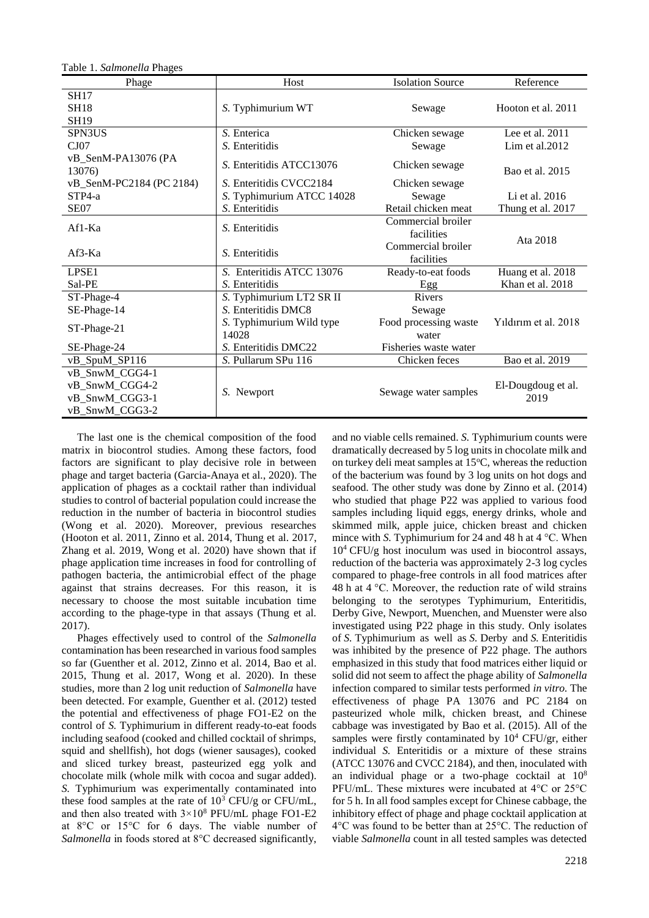| Phage                         | Host                      | <b>Isolation Source</b> | Reference            |
|-------------------------------|---------------------------|-------------------------|----------------------|
| <b>SH17</b>                   |                           |                         |                      |
| <b>SH18</b>                   | S. Typhimurium WT         | Sewage                  | Hooton et al. 2011   |
| <b>SH19</b>                   |                           |                         |                      |
| SPN3US                        | S. Enterica               | Chicken sewage          | Lee et al. $2011$    |
| CJ07                          | S. Enteritidis            | Sewage                  | Lim et al. $2012$    |
| vB_SenM-PA13076 (PA<br>13076) | S. Enteritidis ATCC13076  | Chicken sewage          | Bao et al. 2015      |
| vB_SenM-PC2184 (PC 2184)      | S. Enteritidis CVCC2184   | Chicken sewage          |                      |
| $STP4-a$                      | S. Typhimurium ATCC 14028 | Sewage                  | Li et al. 2016       |
| SE <sub>07</sub>              | S. Enteritidis            | Retail chicken meat     | Thung et al. 2017    |
| Af1-Ka                        | S. Enteritidis            | Commercial broiler      |                      |
|                               |                           | facilities              | Ata 2018             |
| $Af3-Ka$                      | S. Enteritidis            | Commercial broiler      |                      |
|                               |                           | facilities              |                      |
| LPSE <sub>1</sub>             | S. Enteritidis ATCC 13076 | Ready-to-eat foods      | Huang et al. 2018    |
| Sal-PE                        | S. Enteritidis            | Egg                     | Khan et al. 2018     |
| ST-Phage-4                    | S. Typhimurium LT2 SR II  | <b>Rivers</b>           |                      |
| SE-Phage-14                   | S. Enteritidis DMC8       | Sewage                  |                      |
| ST-Phage-21                   | S. Typhimurium Wild type  | Food processing waste   | Yildirim et al. 2018 |
|                               | 14028                     | water                   |                      |
| SE-Phage-24                   | S. Enteritidis DMC22      | Fisheries waste water   |                      |
| vB_SpuM_SP116                 | S. Pullarum SPu 116       | Chicken feces           | Bao et al. 2019      |
| vB_SnwM_CGG4-1                |                           |                         |                      |
| vB_SnwM_CGG4-2                |                           | Sewage water samples    | El-Dougdoug et al.   |
| vB_SnwM_CGG3-1                | S. Newport                |                         | 2019                 |
| vB_SnwM_CGG3-2                |                           |                         |                      |

Table 1. *Salmonella* Phages

The last one is the chemical composition of the food matrix in biocontrol studies. Among these factors, food factors are significant to play decisive role in between phage and target bacteria (Garcia-Anaya et al., 2020). The application of phages as a cocktail rather than individual studies to control of bacterial population could increase the reduction in the number of bacteria in biocontrol studies (Wong et al. 2020). Moreover, previous researches (Hooton et al. 2011, Zinno et al. 2014, Thung et al. 2017, Zhang et al. 2019, Wong et al. 2020) have shown that if phage application time increases in food for controlling of pathogen bacteria, the antimicrobial effect of the phage against that strains decreases. For this reason, it is necessary to choose the most suitable incubation time according to the phage-type in that assays (Thung et al. 2017).

Phages effectively used to control of the *Salmonella* contamination has been researched in various food samples so far (Guenther et al. 2012, Zinno et al. 2014, Bao et al. 2015, Thung et al. 2017, Wong et al. 2020). In these studies, more than 2 log unit reduction of *Salmonella* have been detected. For example, Guenther et al. (2012) tested the potential and effectiveness of phage FO1-E2 on the control of *S.* Typhimurium in different ready-to-eat foods including seafood (cooked and chilled cocktail of shrimps, squid and shellfish), hot dogs (wiener sausages), cooked and sliced turkey breast, pasteurized egg yolk and chocolate milk (whole milk with cocoa and sugar added). *S.* Typhimurium was experimentally contaminated into these food samples at the rate of  $10^3$  CFU/g or CFU/mL, and then also treated with  $3 \times 10^8$  PFU/mL phage FO1-E2 at 8°C or 15°C for 6 days. The viable number of *Salmonella* in foods stored at 8°C decreased significantly, and no viable cells remained. *S.* Typhimurium counts were dramatically decreased by 5 log units in chocolate milk and on turkey deli meat samples at  $15^{\circ}$ C, whereas the reduction of the bacterium was found by 3 log units on hot dogs and seafood. The other study was done by Zinno et al. (2014) who studied that phage P22 was applied to various food samples including liquid eggs, energy drinks, whole and skimmed milk, apple juice, chicken breast and chicken mince with *S*. Typhimurium for 24 and 48 h at 4 °C. When  $10<sup>4</sup>$  CFU/g host inoculum was used in biocontrol assays, reduction of the bacteria was approximately 2-3 log cycles compared to phage-free controls in all food matrices after 48 h at  $4^{\circ}$ C. Moreover, the reduction rate of wild strains belonging to the serotypes Typhimurium, Enteritidis, Derby Give, Newport, Muenchen, and Muenster were also investigated using P22 phage in this study. Only isolates of *S.* Typhimurium as well as *S.* Derby and *S.* Enteritidis was inhibited by the presence of P22 phage. The authors emphasized in this study that food matrices either liquid or solid did not seem to affect the phage ability of *Salmonella* infection compared to similar tests performed *in vitro.* The effectiveness of phage PA 13076 and PC 2184 on pasteurized whole milk, chicken breast, and Chinese cabbage was investigated by Bao et al. (2015). All of the samples were firstly contaminated by  $10^4$  CFU/gr, either individual *S.* Enteritidis or a mixture of these strains (ATCC 13076 and CVCC 2184), and then, inoculated with an individual phage or a two-phage cocktail at 10<sup>8</sup> PFU/mL. These mixtures were incubated at 4°C or 25°C for 5 h. In all food samples except for Chinese cabbage, the inhibitory effect of phage and phage cocktail application at 4°C was found to be better than at 25°C. The reduction of viable *Salmonella* count in all tested samples was detected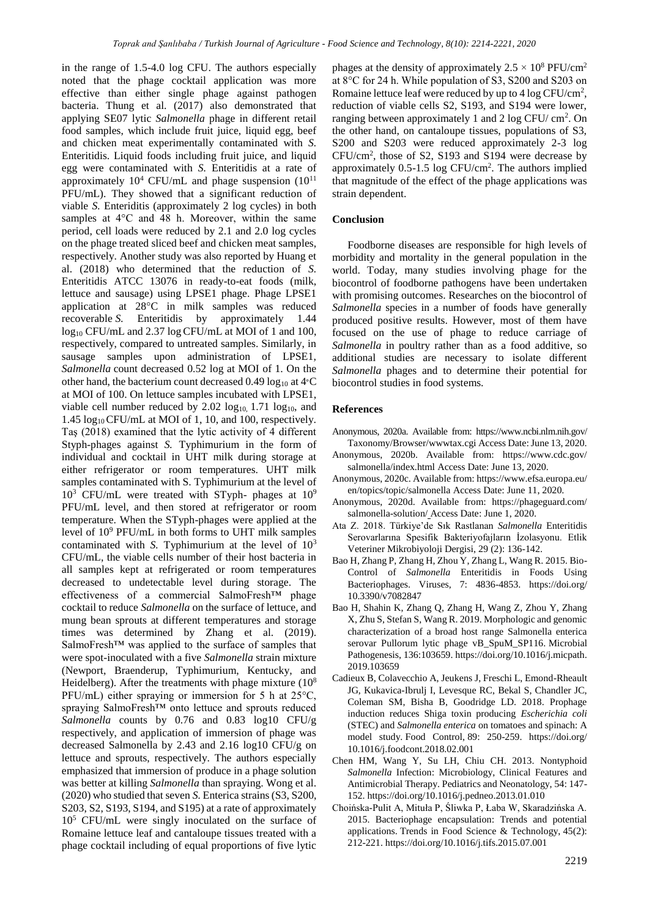in the range of 1.5-4.0 log CFU. The authors especially noted that the phage cocktail application was more effective than either single phage against pathogen bacteria. Thung et al. (2017) also demonstrated that applying SE07 lytic *Salmonella* phage in different retail food samples, which include fruit juice, liquid egg, beef and chicken meat experimentally contaminated with *S.*  Enteritidis. Liquid foods including fruit juice, and liquid egg were contaminated with *S.* Enteritidis at a rate of approximately  $10^4$  CFU/mL and phage suspension  $(10^{11}$ PFU/mL). They showed that a significant reduction of viable *S.* Enteriditis (approximately 2 log cycles) in both samples at 4°C and 48 h. Moreover, within the same period, cell loads were reduced by 2.1 and 2.0 log cycles on the phage treated sliced beef and chicken meat samples, respectively. Another study was also reported by Huang et al. (2018) who determined that the reduction of *S.* Enteritidis ATCC 13076 in ready-to-eat foods (milk, lettuce and sausage) using LPSE1 phage. Phage LPSE1 application at 28°C in milk samples was reduced recoverable *S.* Enteritidis by approximately 1.44 log<sub>10</sub> CFU/mL and 2.37 log CFU/mL at MOI of 1 and 100, respectively, compared to untreated samples. Similarly, in sausage samples upon administration of LPSE1, *Salmonella* count decreased 0.52 log at MOI of 1. On the other hand, the bacterium count decreased 0.49  $log_{10}$  at 4°C at MOI of 100. On lettuce samples incubated with LPSE1, viable cell number reduced by  $2.02 \log_{10} 1.71 \log_{10}$ , and 1.45 log10 CFU/mL at MOI of 1, 10, and 100, respectively. Taş (2018) examined that the lytic activity of 4 different Styph-phages against *S.* Typhimurium in the form of individual and cocktail in UHT milk during storage at either refrigerator or room temperatures. UHT milk samples contaminated with S. Typhimurium at the level of  $10^3$  CFU/mL were treated with STyph- phages at  $10^9$ PFU/mL level, and then stored at refrigerator or room temperature. When the STyph-phages were applied at the level of 10<sup>9</sup> PFU/mL in both forms to UHT milk samples contaminated with *S.* Typhimurium at the level of 10<sup>3</sup> CFU/mL, the viable cells number of their host bacteria in all samples kept at refrigerated or room temperatures decreased to undetectable level during storage. The effectiveness of a commercial SalmoFresh™ phage cocktail to reduce *Salmonella* on the surface of lettuce, and mung bean sprouts at different temperatures and storage times was determined by Zhang et al. (2019). SalmoFresh™ was applied to the surface of samples that were spot-inoculated with a five *Salmonella* strain mixture (Newport, Braenderup, Typhimurium, Kentucky, and Heidelberg). After the treatments with phage mixture  $(10<sup>8</sup>)$ PFU/mL) either spraying or immersion for 5 h at 25°C, spraying SalmoFresh™ onto lettuce and sprouts reduced *Salmonella* counts by 0.76 and 0.83 log10 CFU/g respectively, and application of immersion of phage was decreased Salmonella by 2.43 and 2.16 log10 CFU/g on lettuce and sprouts, respectively. The authors especially emphasized that immersion of produce in a phage solution was better at killing *Salmonella* than spraying. Wong et al. (2020) who studied that seven *S.* Enterica strains (S3, S200, S203, S2, S193, S194, and S195) at a rate of approximately 10<sup>5</sup> CFU/mL were singly inoculated on the surface of Romaine lettuce leaf and cantaloupe tissues treated with a phage cocktail including of equal proportions of five lytic

phages at the density of approximately  $2.5 \times 10^8$  PFU/cm<sup>2</sup> at 8°C for 24 h. While population of S3, S200 and S203 on Romaine lettuce leaf were reduced by up to 4  $\log$  CFU/cm<sup>2</sup>, reduction of viable cells S2, S193, and S194 were lower, ranging between approximately 1 and 2  $log CFU/cm<sup>2</sup>$ . On the other hand, on cantaloupe tissues, populations of S3, S200 and S203 were reduced approximately 2-3 log CFU/cm<sup>2</sup> , those of S2, S193 and S194 were decrease by approximately  $0.5$ -1.5 log CFU/cm<sup>2</sup>. The authors implied that magnitude of the effect of the phage applications was strain dependent.

#### **Conclusion**

Foodborne diseases are responsible for high levels of morbidity and mortality in the general population in the world. Today, many studies involving phage for the biocontrol of foodborne pathogens have been undertaken with promising outcomes. Researches on the biocontrol of *Salmonella* species in a number of foods have generally produced positive results. However, most of them have focused on the use of phage to reduce carriage of *Salmonella* in poultry rather than as a food additive, so additional studies are necessary to isolate different *Salmonella* phages and to determine their potential for biocontrol studies in food systems.

#### **References**

- Anonymous, 2020a. Available from: https://www.ncbi.nlm.nih.gov/ Taxonomy/Browser/wwwtax.cgi Access Date: June 13, 2020.
- Anonymous, 2020b. Available from: https://www.cdc.gov/ salmonella/index.html Access Date: June 13, 2020.
- Anonymous, 2020c. Available from: https://www.efsa.europa.eu/ en/topics/topic/salmonella Access Date: June 11, 2020.
- Anonymous, 2020d. Available from: https://phageguard.com/ salmonella-solution/ Access Date: June 1, 2020.
- Ata Z. 2018. Türkiye'de Sık Rastlanan *Salmonella* Enteritidis Serovarlarına Spesifik Bakteriyofajların İzolasyonu. Etlik Veteriner Mikrobiyoloji Dergisi, 29 (2): 136-142.
- Bao H, Zhang P, Zhang H, Zhou Y, Zhang L, Wang R. 2015. Bio-Control of *Salmonella* Enteritidis in Foods Using Bacteriophages. Viruses, 7: 4836-4853. https://doi.org/ 10.3390/v7082847
- Bao H, Shahin K, Zhang Q, Zhang H, Wang Z, Zhou Y, Zhang X, Zhu S, Stefan S, Wang R. 2019. Morphologic and genomic characterization of a broad host range Salmonella enterica serovar Pullorum lytic phage vB\_SpuM\_SP116. Microbial Pathogenesis, 136:103659. https://doi.org/10.1016/j.micpath. 2019.103659
- Cadieux B, Colavecchio A, Jeukens J, Freschi L, Emond-Rheault JG, Kukavica-Ibrulj I, Levesque RC, Bekal S, Chandler JC, Coleman SM, Bisha B, Goodridge LD. 2018. Prophage induction reduces Shiga toxin producing *Escherichia coli* (STEC) and *Salmonella enterica* on tomatoes and spinach: A model study. Food Control, 89: 250-259. https://doi.org/ 10.1016/j.foodcont.2018.02.001
- Chen HM, Wang Y, Su LH, Chiu CH. 2013. Nontyphoid *Salmonella* Infection: Microbiology, Clinical Features and Antimicrobial Therapy. Pediatrics and Neonatology, 54: 147- 152. https://doi.org/10.1016/j.pedneo.2013.01.010
- Choińska-Pulit A, Mituła P, Śliwka P, Łaba W, Skaradzińska A. 2015. Bacteriophage encapsulation: Trends and potential applications. Trends in Food Science & Technology, 45(2): 212-221. https://doi.org/10.1016/j.tifs.2015.07.001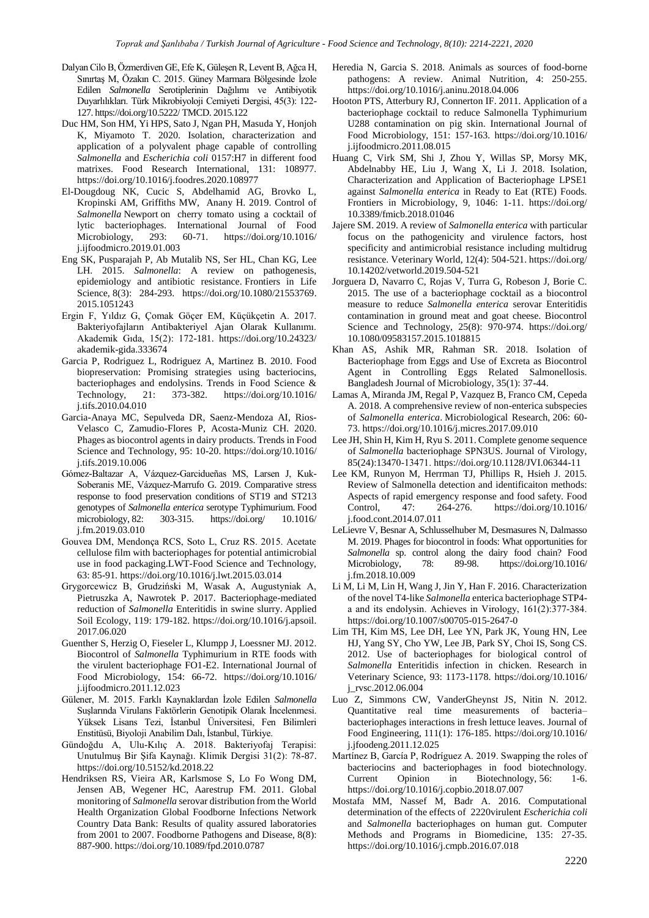- Dalyan Cilo B, Özmerdiven GE, Efe K, Güleşen R, Levent B, Ağca H, Sınırtaş M, Özakın C. 2015. Güney Marmara Bölgesinde İzole Edilen *Salmonella* Serotiplerinin Dağılımı ve Antibiyotik Duyarlılıkları. Türk Mikrobiyoloji Cemiyeti Dergisi, 45(3): 122- 127. https://doi.org/10.5222/ TMCD. 2015.122
- Duc HM, Son HM, Yi HPS, Sato J, Ngan PH, Masuda Y, Honjoh K, Miyamoto T. 2020. Isolation, characterization and application of a polyvalent phage capable of controlling *Salmonella* and *Escherichia coli* 0157:H7 in different food matrixes. Food Research International, 131: 108977. https://doi.org/10.1016/j.foodres.2020.108977
- El-Dougdoug NK, Cucic S, Abdelhamid AG, Brovko L, Kropinski AM, Griffiths MW, Anany H. 2019. Control of *Salmonella* Newport on cherry tomato using a cocktail of lytic bacteriophages. International Journal of Food Microbiology, 293: 60-71. https://doi.org/10.1016/ j.ijfoodmicro.2019.01.003
- Eng SK, Pusparajah P, Ab Mutalib NS, Ser HL, Chan KG, Lee LH. 2015. *Salmonella*: A review on pathogenesis, epidemiology and antibiotic resistance. Frontiers in Life Science, 8(3): 284-293. https://doi.org/10.1080/21553769. 2015.1051243
- Ergin F, Yıldız G, Çomak Göçer EM, Küçükçetin A. 2017. Bakteriyofajların Antibakteriyel Ajan Olarak Kullanımı. Akademik Gıda, 15(2): 172-181. https://doi.org/10.24323/ akademik-gida.333674
- Garcia P, Rodriguez L, Rodriguez A, Martinez B. 2010. Food biopreservation: Promising strategies using bacteriocins, bacteriophages and endolysins. Trends in Food Science & Technology, 21: 373-382. https://doi.org/10.1016/ j.tifs.2010.04.010
- Garcia-Anaya MC, Sepulveda DR, Saenz-Mendoza AI, Rios-Velasco C, Zamudio-Flores P, Acosta-Muniz CH. 2020. Phages as biocontrol agents in dairy products. Trends in Food Science and Technology, 95: 10-20. https://doi.org/10.1016/ j.tifs.2019.10.006
- Gómez-Baltazar A, Vázquez-Garcidueñas MS, Larsen J, Kuk-Soberanis ME, Vázquez-Marrufo G. 2019. Comparative stress response to food preservation conditions of ST19 and ST213 genotypes of *Salmonella enterica* serotype Typhimurium. Food microbiology, 82: 303-315. https://doi.org/ 10.1016/ j.fm.2019.03.010
- Gouvea DM, Mendonça RCS, Soto L, Cruz RS. 2015. Acetate cellulose film with bacteriophages for potential antimicrobial use in food packaging.LWT-Food Science and Technology, 63: 85-91. https://doi.org/10.1016/j.lwt.2015.03.014
- Grygorcewicz B, Grudziński M, Wasak A, Augustyniak A, Pietruszka A, Nawrotek P. 2017. Bacteriophage-mediated reduction of *Salmonella* Enteritidis in swine slurry. Applied Soil Ecology, 119: 179-182. https://doi.org/10.1016/j.apsoil. 2017.06.020
- Guenther S, Herzig O, Fieseler L, Klumpp J, Loessner MJ. 2012. Biocontrol of *Salmonella* Typhimurium in RTE foods with the virulent bacteriophage FO1-E2. International Journal of Food Microbiology, 154: 66-72. https://doi.org/10.1016/ j.ijfoodmicro.2011.12.023
- Gülener, M. 2015. Farklı Kaynaklardan İzole Edilen *Salmonella* Suşlarında Virulans Faktörlerin Genotipik Olarak İncelenmesi. Yüksek Lisans Tezi, İstanbul Üniversitesi, Fen Bilimleri Enstitüsü, Biyoloji Anabilim Dalı, İstanbul, Türkiye.
- Gündoğdu A, Ulu-Kılıç A. 2018. Bakteriyofaj Terapisi: Unutulmuş Bir Şifa Kaynağı. Klimik Dergisi 31(2): 78-87. https://doi.org/10.5152/kd.2018.22
- Hendriksen RS, Vieira AR, Karlsmose S, Lo Fo Wong DM, Jensen AB, Wegener HC, Aarestrup FM. 2011. Global monitoring of *Salmonella* serovar distribution from the World Health Organization Global Foodborne Infections Network Country Data Bank: Results of quality assured laboratories from 2001 to 2007. Foodborne Pathogens and Disease, 8(8): 887-900. https://doi.org/10.1089/fpd.2010.0787
- Heredia N, Garcia S. 2018. Animals as sources of food-borne pathogens: A review. Animal Nutrition, 4: 250-255. https://doi.org/10.1016/j.aninu.2018.04.006
- Hooton PTS, Atterbury RJ, Connerton IF. 2011. Application of a bacteriophage cocktail to reduce Salmonella Typhimurium U288 contamination on pig skin. International Journal of Food Microbiology, 151: 157-163. https://doi.org/10.1016/ j.ijfoodmicro.2011.08.015
- Huang C, Virk SM, Shi J, Zhou Y, Willas SP, Morsy MK, Abdelnabby HE, Liu J, Wang X, Li J. 2018. Isolation, Characterization and Application of Bacteriophage LPSE1 against *Salmonella enterica* in Ready to Eat (RTE) Foods. Frontiers in Microbiology, 9, 1046: 1-11. https://doi.org/ 10.3389/fmicb.2018.01046
- Jajere SM. 2019. A review of *Salmonella enterica* with particular focus on the pathogenicity and virulence factors, host specificity and antimicrobial resistance including multidrug resistance. Veterinary World, 12(4): 504-521. https://doi.org/ 10.14202/vetworld.2019.504-521
- Jorguera D, Navarro C, Rojas V, Turra G, Robeson J, Borie C. 2015. The use of a bacteriophage cocktail as a biocontrol measure to reduce *Salmonella enterica* serovar Enteritidis contamination in ground meat and goat cheese. Biocontrol Science and Technology, 25(8): 970-974. https://doi.org/ 10.1080/09583157.2015.1018815
- Khan AS, Ashik MR, Rahman SR. 2018. Isolation of Bacteriophage from Eggs and Use of Excreta as Biocontrol Agent in Controlling Eggs Related Salmonellosis. Bangladesh Journal of Microbiology, 35(1): 37-44.
- Lamas A, Miranda JM, Regal P, Vazquez B, Franco CM, Cepeda A. 2018. A comprehensive review of non-enterica subspecies of *Salmonella enterica*. Microbiological Research, 206: 60- 73. https://doi.org/10.1016/j.micres.2017.09.010
- Lee JH, Shin H, Kim H, Ryu S. 2011. Complete genome sequence of *Salmonella* bacteriophage SPN3US. Journal of Virology, 85(24):13470‐13471. https://doi.org/10.1128/JVI.06344-11
- Lee KM, Runyon M, Herrman TJ, Phillips R, Hsieh J. 2015. Review of Salmonella detection and identificaiton methods: Aspects of rapid emergency response and food safety. Food Control, 47: 264-276. https://doi.org/10.1016/ j.food.cont.2014.07.011
- LeLievre V, Besnar A, Schlusselhuber M, Desmasures N, Dalmasso M. 2019. Phages for biocontrol in foods: What opportunities for *Salmonella* sp. control along the dairy food chain? Food Microbiology, 78: 89-98. https://doi.org/10.1016/ j.fm.2018.10.009
- Li M, Li M, Lin H, Wang J, Jin Y, Han F. 2016. Characterization of the novel T4-like *Salmonella* enterica bacteriophage STP4 a and its endolysin. Achieves in Virology, 161(2):377‐384. https://doi.org/10.1007/s00705-015-2647-0
- Lim TH, Kim MS, Lee DH, Lee YN, Park JK, Young HN, Lee HJ, Yang SY, Cho YW, Lee JB, Park SY, Choi IS, Song CS. 2012. Use of bacteriophages for biological control of *Salmonella* Enteritidis infection in chicken. Research in Veterinary Science, 93: 1173-1178. https://doi.org/10.1016/ j\_rvsc.2012.06.004
- Luo Z, Simmons CW, VanderGheynst JS, Nitin N. 2012. Quantitative real time measurements of bacteria– bacteriophages interactions in fresh lettuce leaves. Journal of Food Engineering, 111(1): 176-185. https://doi.org/10.1016/ j.jfoodeng.2011.12.025
- Martínez B, García P, Rodríguez A. 2019. Swapping the roles of bacteriocins and bacteriophages in food biotechnology. Current Opinion in Biotechnology, 56: 1-6. https://doi.org/10.1016/j.copbio.2018.07.007
- Mostafa MM, Nassef M, Badr A. 2016. Computational determination of the effects of 2220virulent *Escherichia coli* and *Salmonella* bacteriophages on human gut. Computer Methods and Programs in Biomedicine, 135: 27-35. https://doi.org/10.1016/j.cmpb.2016.07.018